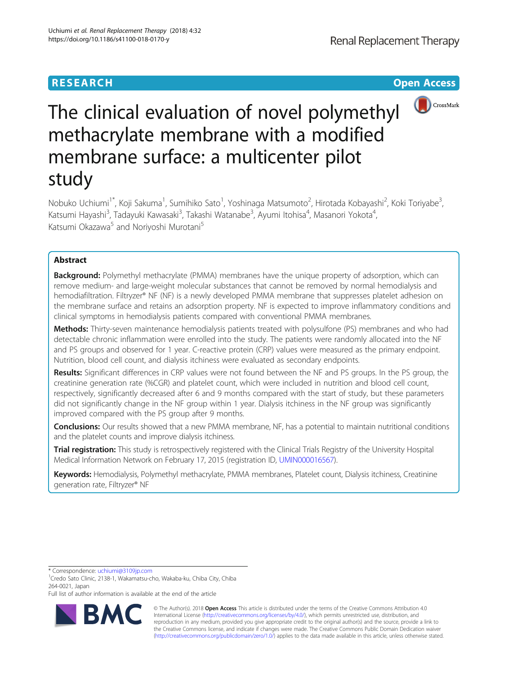# **RESEARCH CHE Open Access**



# The clinical evaluation of novel polymethyl methacrylate membrane with a modified membrane surface: a multicenter pilot study

Nobuko Uchiumi<sup>1\*</sup>, Koji Sakuma<sup>1</sup>, Sumihiko Sato<sup>1</sup>, Yoshinaga Matsumoto<sup>2</sup>, Hirotada Kobayashi<sup>2</sup>, Koki Toriyabe<sup>3</sup> , Katsumi Hayashi<sup>3</sup>, Tadayuki Kawasaki<sup>3</sup>, Takashi Watanabe<sup>3</sup>, Ayumi Itohisa<sup>4</sup>, Masanori Yokota<sup>4</sup> , Katsumi Okazawa<sup>5</sup> and Noriyoshi Murotani<sup>5</sup>

## Abstract

**Background:** Polymethyl methacrylate (PMMA) membranes have the unique property of adsorption, which can remove medium- and large-weight molecular substances that cannot be removed by normal hemodialysis and hemodiafiltration. Filtryzer® NF (NF) is a newly developed PMMA membrane that suppresses platelet adhesion on the membrane surface and retains an adsorption property. NF is expected to improve inflammatory conditions and clinical symptoms in hemodialysis patients compared with conventional PMMA membranes.

Methods: Thirty-seven maintenance hemodialysis patients treated with polysulfone (PS) membranes and who had detectable chronic inflammation were enrolled into the study. The patients were randomly allocated into the NF and PS groups and observed for 1 year. C-reactive protein (CRP) values were measured as the primary endpoint. Nutrition, blood cell count, and dialysis itchiness were evaluated as secondary endpoints.

Results: Significant differences in CRP values were not found between the NF and PS groups. In the PS group, the creatinine generation rate (%CGR) and platelet count, which were included in nutrition and blood cell count, respectively, significantly decreased after 6 and 9 months compared with the start of study, but these parameters did not significantly change in the NF group within 1 year. Dialysis itchiness in the NF group was significantly improved compared with the PS group after 9 months.

**Conclusions:** Our results showed that a new PMMA membrane, NF, has a potential to maintain nutritional conditions and the platelet counts and improve dialysis itchiness.

**Trial registration:** This study is retrospectively registered with the Clinical Trials Registry of the University Hospital Medical Information Network on February 17, 2015 (registration ID, [UMIN000016567\)](https://upload.umin.ac.jp/cgi-open-bin/ctr/ctr_view.cgi?recptno=R000019222).

Keywords: Hemodialysis, Polymethyl methacrylate, PMMA membranes, Platelet count, Dialysis itchiness, Creatinine generation rate, Filtryzer® NF

\* Correspondence: [uchiumi@3109jp.com](mailto:uchiumi@3109jp.com) <sup>1</sup>

<sup>1</sup>Credo Sato Clinic, 2138-1, Wakamatsu-cho, Wakaba-ku, Chiba City, Chiba 264-0021, Japan

Full list of author information is available at the end of the article



© The Author(s). 2018 Open Access This article is distributed under the terms of the Creative Commons Attribution 4.0 International License [\(http://creativecommons.org/licenses/by/4.0/](http://creativecommons.org/licenses/by/4.0/)), which permits unrestricted use, distribution, and reproduction in any medium, provided you give appropriate credit to the original author(s) and the source, provide a link to the Creative Commons license, and indicate if changes were made. The Creative Commons Public Domain Dedication waiver [\(http://creativecommons.org/publicdomain/zero/1.0/](http://creativecommons.org/publicdomain/zero/1.0/)) applies to the data made available in this article, unless otherwise stated.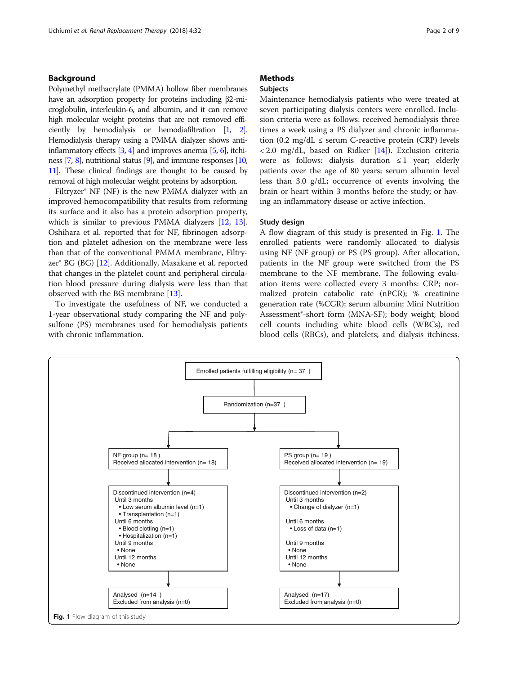#### <span id="page-1-0"></span>Background

Polymethyl methacrylate (PMMA) hollow fiber membranes have an adsorption property for proteins including β2-microglobulin, interleukin-6, and albumin, and it can remove high molecular weight proteins that are not removed efficiently by hemodialysis or hemodiafiltration [\[1,](#page-7-0) [2](#page-7-0)]. Hemodialysis therapy using a PMMA dialyzer shows antiinflammatory effects  $[3, 4]$  $[3, 4]$  $[3, 4]$  and improves anemia  $[5, 6]$  $[5, 6]$  $[5, 6]$ , itchiness [\[7](#page-7-0), [8\]](#page-7-0), nutritional status [\[9](#page-7-0)], and immune responses [\[10](#page-7-0), [11\]](#page-8-0). These clinical findings are thought to be caused by removal of high molecular weight proteins by adsorption.

Filtryzer® NF (NF) is the new PMMA dialyzer with an improved hemocompatibility that results from reforming its surface and it also has a protein adsorption property, which is similar to previous PMMA dialyzers [[12,](#page-8-0) [13](#page-8-0)]. Oshihara et al. reported that for NF, fibrinogen adsorption and platelet adhesion on the membrane were less than that of the conventional PMMA membrane, Filtryzer® BG (BG) [\[12](#page-8-0)]. Additionally, Masakane et al. reported that changes in the platelet count and peripheral circulation blood pressure during dialysis were less than that observed with the BG membrane [[13\]](#page-8-0).

To investigate the usefulness of NF, we conducted a 1-year observational study comparing the NF and polysulfone (PS) membranes used for hemodialysis patients with chronic inflammation.

### **Methods**

#### Subjects

Maintenance hemodialysis patients who were treated at seven participating dialysis centers were enrolled. Inclusion criteria were as follows: received hemodialysis three times a week using a PS dialyzer and chronic inflammation (0.2 mg/dL  $\leq$  serum C-reactive protein (CRP) levels  $\langle 2.0 \text{ mg/dL}$ , based on Ridker [\[14\]](#page-8-0)). Exclusion criteria were as follows: dialysis duration  $\leq 1$  year; elderly patients over the age of 80 years; serum albumin level less than 3.0 g/dL; occurrence of events involving the brain or heart within 3 months before the study; or having an inflammatory disease or active infection.

#### Study design

A flow diagram of this study is presented in Fig. 1. The enrolled patients were randomly allocated to dialysis using NF (NF group) or PS (PS group). After allocation, patients in the NF group were switched from the PS membrane to the NF membrane. The following evaluation items were collected every 3 months: CRP; normalized protein catabolic rate (nPCR); % creatinine generation rate (%CGR); serum albumin; Mini Nutrition Assessment®-short form (MNA-SF); body weight; blood cell counts including white blood cells (WBCs), red blood cells (RBCs), and platelets; and dialysis itchiness.

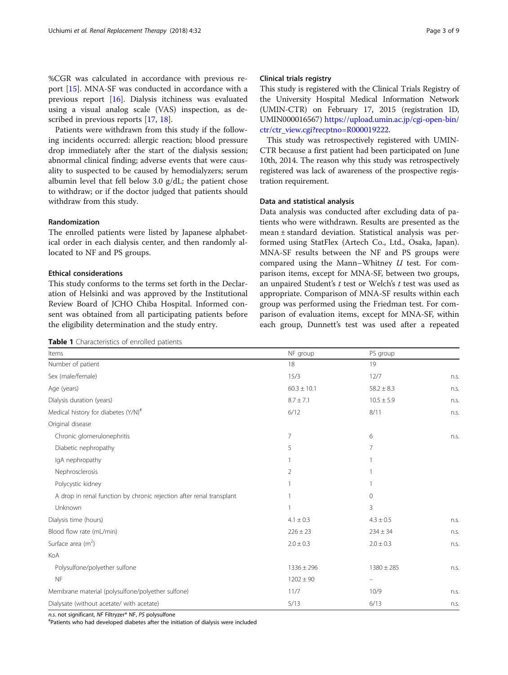<span id="page-2-0"></span>%CGR was calculated in accordance with previous report [[15](#page-8-0)]. MNA-SF was conducted in accordance with a previous report [[16](#page-8-0)]. Dialysis itchiness was evaluated using a visual analog scale (VAS) inspection, as described in previous reports [[17](#page-8-0), [18](#page-8-0)].

Patients were withdrawn from this study if the following incidents occurred: allergic reaction; blood pressure drop immediately after the start of the dialysis session; abnormal clinical finding; adverse events that were causality to suspected to be caused by hemodialyzers; serum albumin level that fell below 3.0 g/dL; the patient chose to withdraw; or if the doctor judged that patients should withdraw from this study.

#### Randomization

The enrolled patients were listed by Japanese alphabetical order in each dialysis center, and then randomly allocated to NF and PS groups.

#### Ethical considerations

This study conforms to the terms set forth in the Declaration of Helsinki and was approved by the Institutional Review Board of JCHO Chiba Hospital. Informed consent was obtained from all participating patients before the eligibility determination and the study entry.

Table 1 Characteristics of enrolled patients

#### Clinical trials registry

This study is registered with the Clinical Trials Registry of the University Hospital Medical Information Network (UMIN-CTR) on February 17, 2015 (registration ID, UMIN000016567) [https://upload.umin.ac.jp/cgi-open-bin/](https://upload.umin.ac.jp/cgi-open-bin/ctr/ctr_view.cgi?recptno=R000019222) [ctr/ctr\\_view.cgi?recptno=R000019222.](https://upload.umin.ac.jp/cgi-open-bin/ctr/ctr_view.cgi?recptno=R000019222)

This study was retrospectively registered with UMIN-CTR because a first patient had been participated on June 10th, 2014. The reason why this study was retrospectively registered was lack of awareness of the prospective registration requirement.

#### Data and statistical analysis

Data analysis was conducted after excluding data of patients who were withdrawn. Results are presented as the mean ± standard deviation. Statistical analysis was performed using StatFlex (Artech Co., Ltd., Osaka, Japan). MNA-SF results between the NF and PS groups were compared using the Mann–Whitney U test. For comparison items, except for MNA-SF, between two groups, an unpaired Student's  $t$  test or Welch's  $t$  test was used as appropriate. Comparison of MNA-SF results within each group was performed using the Friedman test. For comparison of evaluation items, except for MNA-SF, within each group, Dunnett's test was used after a repeated

| Items                                                                | NF group        | PS group                 |      |
|----------------------------------------------------------------------|-----------------|--------------------------|------|
| Number of patient                                                    | 18              | 19                       |      |
| Sex (male/female)                                                    | 15/3            | 12/7                     | n.s. |
| Age (years)                                                          | $60.3 \pm 10.1$ | $58.2 \pm 8.3$           | n.s. |
| Dialysis duration (years)                                            | $8.7 \pm 7.1$   | $10.5 \pm 5.9$           | n.s. |
| Medical history for diabetes (Y/N) <sup>#</sup>                      | 6/12            | 8/11                     | n.s. |
| Original disease                                                     |                 |                          |      |
| Chronic glomerulonephritis                                           | 7               | 6                        | n.s. |
| Diabetic nephropathy                                                 | 5               | 7                        |      |
| IgA nephropathy                                                      |                 | 1                        |      |
| Nephrosclerosis                                                      | 2               | 1                        |      |
| Polycystic kidney                                                    |                 | 1                        |      |
| A drop in renal function by chronic rejection after renal transplant |                 | $\mathbf{0}$             |      |
| Unknown                                                              |                 | 3                        |      |
| Dialysis time (hours)                                                | $4.1 \pm 0.3$   | $4.3 \pm 0.5$            | n.s. |
| Blood flow rate (mL/min)                                             | $226 \pm 23$    | $234 \pm 34$             | n.s. |
| Surface area $(m^2)$                                                 | $2.0 \pm 0.3$   | $2.0 \pm 0.3$            | n.s. |
| KoA                                                                  |                 |                          |      |
| Polysulfone/polyether sulfone                                        | $1336 \pm 296$  | $1380 \pm 285$           | n.s. |
| <b>NF</b>                                                            | $1202 \pm 90$   | $\overline{\phantom{m}}$ |      |
| Membrane material (polysulfone/polyether sulfone)                    | 11/7            | 10/9                     | n.s. |
| Dialysate (without acetate/ with acetate)                            | 5/13            | 6/13                     | n.s. |

n.s. not significant, NF Filtryzer® NF, PS polysulfone

Patients who had developed diabetes after the initiation of dialysis were included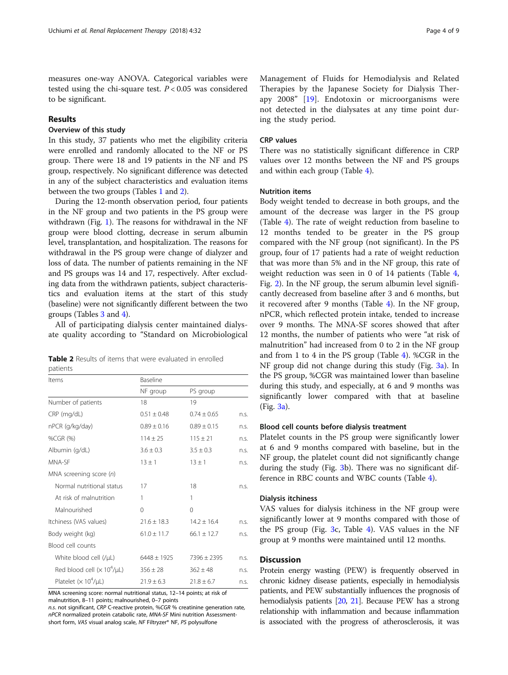measures one-way ANOVA. Categorical variables were tested using the chi-square test.  $P < 0.05$  was considered to be significant.

#### Results

#### Overview of this study

In this study, 37 patients who met the eligibility criteria were enrolled and randomly allocated to the NF or PS group. There were 18 and 19 patients in the NF and PS group, respectively. No significant difference was detected in any of the subject characteristics and evaluation items between the two groups (Tables [1](#page-2-0) and 2).

During the 12-month observation period, four patients in the NF group and two patients in the PS group were withdrawn (Fig. [1](#page-1-0)). The reasons for withdrawal in the NF group were blood clotting, decrease in serum albumin level, transplantation, and hospitalization. The reasons for withdrawal in the PS group were change of dialyzer and loss of data. The number of patients remaining in the NF and PS groups was 14 and 17, respectively. After excluding data from the withdrawn patients, subject characteristics and evaluation items at the start of this study (baseline) were not significantly different between the two groups (Tables [3](#page-4-0) and [4](#page-5-0)).

All of participating dialysis center maintained dialysate quality according to "Standard on Microbiological

|          |  |  | <b>Table 2</b> Results of items that were evaluated in enrolled |  |  |
|----------|--|--|-----------------------------------------------------------------|--|--|
| patients |  |  |                                                                 |  |  |

| Items                           | Baseline        |                 |      |  |  |  |
|---------------------------------|-----------------|-----------------|------|--|--|--|
|                                 | NF group        | PS group        |      |  |  |  |
| Number of patients              | 18              | 19              |      |  |  |  |
| CRP (mg/dL)                     | $0.51 \pm 0.48$ | $0.74 \pm 0.65$ | n.s. |  |  |  |
| nPCR (g/kg/day)                 | $0.89 \pm 0.16$ | $0.89 \pm 0.15$ | n.s. |  |  |  |
| %CGR (%)                        | $114 \pm 25$    | $115 \pm 21$    | n.s. |  |  |  |
| Albumin (g/dL)                  | $3.6 \pm 0.3$   | $3.5 \pm 0.3$   | n.s. |  |  |  |
| MNA-SF                          | $13 \pm 1$      | $13 \pm 1$      | n.s. |  |  |  |
| MNA screening score $(n)$       |                 |                 |      |  |  |  |
| Normal nutritional status       | 17              | 18              | n.s. |  |  |  |
| At risk of malnutrition         | 1               | 1               |      |  |  |  |
| Malnourished                    | $\Omega$        | 0               |      |  |  |  |
| Itchiness (VAS values)          | $21.6 \pm 18.3$ | $14.2 \pm 16.4$ | n.s. |  |  |  |
| Body weight (kg)                | $61.0 \pm 11.7$ | $66.1 \pm 12.7$ | n.s. |  |  |  |
| Blood cell counts               |                 |                 |      |  |  |  |
| White blood cell (/µL)          | $6448 \pm 1925$ | $7396 \pm 2395$ | n.s. |  |  |  |
| Red blood cell $(x 10^4/\mu L)$ | $356 \pm 28$    | $362 \pm 48$    | n.s. |  |  |  |
| Platelet $(x 10^4/\mu L)$       | $21.9 \pm 6.3$  | $21.8 \pm 6.7$  | n.s. |  |  |  |

MNA screening score: normal nutritional status, 12–14 points; at risk of malnutrition, 8–11 points; malnourished, 0–7 points

n.s. not significant, CRP C-reactive protein, %CGR % creatinine generation rate, nPCR normalized protein catabolic rate, MNA-SF Mini nutrition Assessmentshort form, VAS visual analog scale, NF Filtryzer® NF, PS polysulfone

Management of Fluids for Hemodialysis and Related Therapies by the Japanese Society for Dialysis Therapy 2008" [[19\]](#page-8-0). Endotoxin or microorganisms were not detected in the dialysates at any time point during the study period.

#### CRP values

There was no statistically significant difference in CRP values over 12 months between the NF and PS groups and within each group (Table [4](#page-5-0)).

#### Nutrition items

Body weight tended to decrease in both groups, and the amount of the decrease was larger in the PS group (Table [4](#page-5-0)). The rate of weight reduction from baseline to 12 months tended to be greater in the PS group compared with the NF group (not significant). In the PS group, four of 17 patients had a rate of weight reduction that was more than 5% and in the NF group, this rate of weight reduction was seen in 0 of 14 patients (Table [4](#page-5-0), Fig. [2](#page-6-0)). In the NF group, the serum albumin level significantly decreased from baseline after 3 and 6 months, but it recovered after 9 months (Table [4\)](#page-5-0). In the NF group, nPCR, which reflected protein intake, tended to increase over 9 months. The MNA-SF scores showed that after 12 months, the number of patients who were "at risk of malnutrition" had increased from 0 to 2 in the NF group and from 1 to 4 in the PS group (Table [4\)](#page-5-0). %CGR in the NF group did not change during this study (Fig. [3a\)](#page-6-0). In the PS group, %CGR was maintained lower than baseline during this study, and especially, at 6 and 9 months was significantly lower compared with that at baseline (Fig. [3a\)](#page-6-0).

#### Blood cell counts before dialysis treatment

Platelet counts in the PS group were significantly lower at 6 and 9 months compared with baseline, but in the NF group, the platelet count did not significantly change during the study (Fig. [3b](#page-6-0)). There was no significant difference in RBC counts and WBC counts (Table [4](#page-5-0)).

#### Dialysis itchiness

VAS values for dialysis itchiness in the NF group were significantly lower at 9 months compared with those of the PS group (Fig. [3c](#page-6-0), Table [4\)](#page-5-0). VAS values in the NF group at 9 months were maintained until 12 months.

#### **Discussion**

Protein energy wasting (PEW) is frequently observed in chronic kidney disease patients, especially in hemodialysis patients, and PEW substantially influences the prognosis of hemodialysis patients [\[20](#page-8-0), [21\]](#page-8-0). Because PEW has a strong relationship with inflammation and because inflammation is associated with the progress of atherosclerosis, it was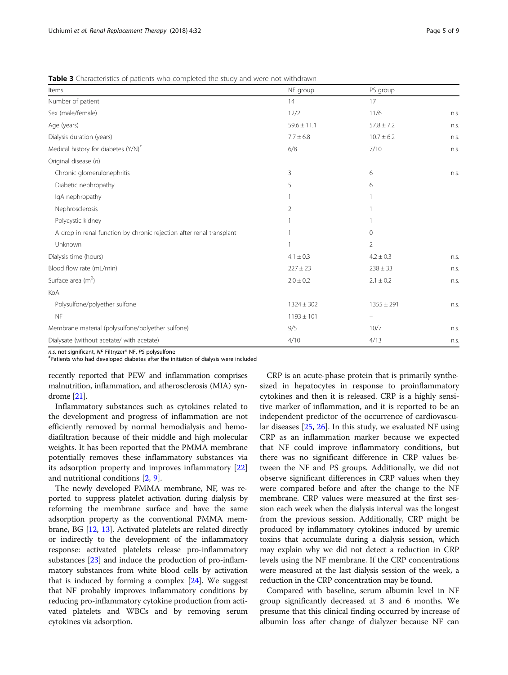<span id="page-4-0"></span>

|  |  |  | <b>Table 3</b> Characteristics of patients who completed the study and were not withdrawn |
|--|--|--|-------------------------------------------------------------------------------------------|
|--|--|--|-------------------------------------------------------------------------------------------|

| Items                                                                | NF group        | PS group       |      |  |
|----------------------------------------------------------------------|-----------------|----------------|------|--|
| Number of patient                                                    | 14              | 17             |      |  |
| Sex (male/female)                                                    | 12/2            | 11/6           | n.s. |  |
| Age (years)                                                          | $59.6 \pm 11.1$ | $57.8 \pm 7.2$ | n.s. |  |
| Dialysis duration (years)                                            | $7.7 \pm 6.8$   | $10.7 \pm 6.2$ | n.s. |  |
| Medical history for diabetes (Y/N) <sup>#</sup>                      | 6/8             | 7/10           | n.s. |  |
| Original disease (n)                                                 |                 |                |      |  |
| Chronic glomerulonephritis                                           | 3               | 6              | n.s. |  |
| Diabetic nephropathy                                                 | 5               | 6              |      |  |
| IgA nephropathy                                                      |                 |                |      |  |
| Nephrosclerosis                                                      | $\overline{2}$  |                |      |  |
| Polycystic kidney                                                    |                 |                |      |  |
| A drop in renal function by chronic rejection after renal transplant |                 | $\Omega$       |      |  |
| Unknown                                                              |                 | $\overline{2}$ |      |  |
| Dialysis time (hours)                                                | $4.1 \pm 0.3$   | $4.2 \pm 0.3$  | n.s. |  |
| Blood flow rate (mL/min)                                             | $227 \pm 23$    | $238 \pm 33$   | n.s. |  |
| Surface area $(m^2)$                                                 | $2.0 \pm 0.2$   | $2.1 \pm 0.2$  | n.s. |  |
| KoA                                                                  |                 |                |      |  |
| Polysulfone/polyether sulfone                                        | $1324 \pm 302$  | $1355 \pm 291$ | n.s. |  |
| <b>NF</b>                                                            | $1193 \pm 101$  |                |      |  |
| Membrane material (polysulfone/polyether sulfone)                    | 9/5             | 10/7           | n.s. |  |
| Dialysate (without acetate/ with acetate)                            | 4/10            | 4/13           | n.s. |  |

*n.s.* not significant, NF Filtryzer® NF, PS polysulfone<br><sup>#</sup>Patients who had developed diabetes after the initiation of dialysis were included

recently reported that PEW and inflammation comprises malnutrition, inflammation, and atherosclerosis (MIA) syndrome [\[21](#page-8-0)].

Inflammatory substances such as cytokines related to the development and progress of inflammation are not efficiently removed by normal hemodialysis and hemodiafiltration because of their middle and high molecular weights. It has been reported that the PMMA membrane potentially removes these inflammatory substances via its adsorption property and improves inflammatory [[22](#page-8-0)] and nutritional conditions [[2,](#page-7-0) [9\]](#page-7-0).

The newly developed PMMA membrane, NF, was reported to suppress platelet activation during dialysis by reforming the membrane surface and have the same adsorption property as the conventional PMMA membrane, BG [\[12,](#page-8-0) [13\]](#page-8-0). Activated platelets are related directly or indirectly to the development of the inflammatory response: activated platelets release pro-inflammatory substances [[23](#page-8-0)] and induce the production of pro-inflammatory substances from white blood cells by activation that is induced by forming a complex [[24](#page-8-0)]. We suggest that NF probably improves inflammatory conditions by reducing pro-inflammatory cytokine production from activated platelets and WBCs and by removing serum cytokines via adsorption.

CRP is an acute-phase protein that is primarily synthesized in hepatocytes in response to proinflammatory cytokines and then it is released. CRP is a highly sensitive marker of inflammation, and it is reported to be an independent predictor of the occurrence of cardiovascular diseases  $[25, 26]$  $[25, 26]$  $[25, 26]$  $[25, 26]$  $[25, 26]$ . In this study, we evaluated NF using CRP as an inflammation marker because we expected that NF could improve inflammatory conditions, but there was no significant difference in CRP values between the NF and PS groups. Additionally, we did not observe significant differences in CRP values when they were compared before and after the change to the NF membrane. CRP values were measured at the first session each week when the dialysis interval was the longest from the previous session. Additionally, CRP might be produced by inflammatory cytokines induced by uremic toxins that accumulate during a dialysis session, which may explain why we did not detect a reduction in CRP levels using the NF membrane. If the CRP concentrations were measured at the last dialysis session of the week, a reduction in the CRP concentration may be found.

Compared with baseline, serum albumin level in NF group significantly decreased at 3 and 6 months. We presume that this clinical finding occurred by increase of albumin loss after change of dialyzer because NF can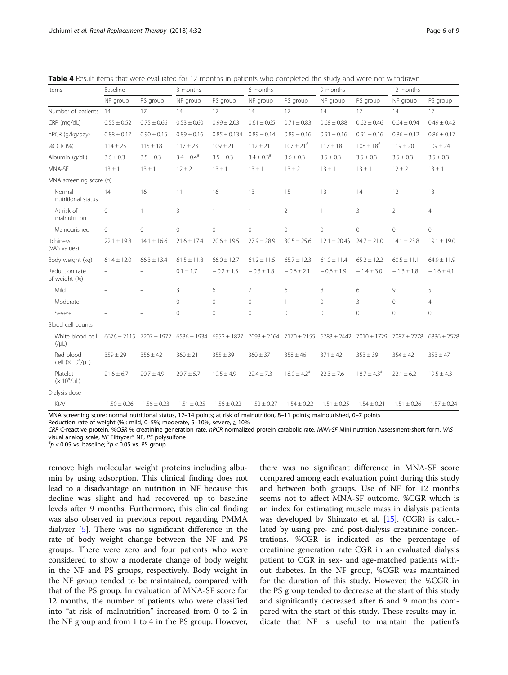| Items                              | Baseline        |                 | 3 months                   |                  | 6 months                                                                                                                |                     | 9 months         |                     | 12 months       |                 |
|------------------------------------|-----------------|-----------------|----------------------------|------------------|-------------------------------------------------------------------------------------------------------------------------|---------------------|------------------|---------------------|-----------------|-----------------|
|                                    | NF group        | PS group        | NF group                   | PS group         | NF group                                                                                                                | PS group            | NF group         | PS group            | NF group        | PS group        |
| Number of patients 14              |                 | 17              | 14                         | 17               | 14                                                                                                                      | 17                  | 14               | 17                  | 14              | 17              |
| CRP (mg/dL)                        | $0.55 \pm 0.52$ | $0.75 \pm 0.66$ | $0.53 \pm 0.60$            | $0.99 \pm 2.03$  | $0.61 \pm 0.65$                                                                                                         | $0.71 \pm 0.83$     | $0.68 \pm 0.88$  | $0.62 \pm 0.46$     | $0.64 \pm 0.94$ | $0.49 \pm 0.42$ |
| nPCR (q/kg/day)                    | $0.88 \pm 0.17$ | $0.90 \pm 0.15$ | $0.89 \pm 0.16$            | $0.85 \pm 0.134$ | $0.89 \pm 0.14$                                                                                                         | $0.89 \pm 0.16$     | $0.91 \pm 0.16$  | $0.91 \pm 0.16$     | $0.86 \pm 0.12$ | $0.86 \pm 0.17$ |
| %CGR (%)                           | $114 \pm 25$    | $115 \pm 18$    | $117 \pm 23$               | $109 \pm 21$     | $112 \pm 21$                                                                                                            | $107 \pm 21^{#}$    | $117 \pm 18$     | $108 \pm 18^{#}$    | $119 \pm 20$    | $109 \pm 24$    |
| Albumin (q/dL)                     | $3.6 \pm 0.3$   | $3.5 \pm 0.3$   | $3.4 \pm 0.4$ <sup>#</sup> | $3.5 \pm 0.3$    | $3.4 \pm 0.3$ <sup>#</sup>                                                                                              | $3.6 \pm 0.3$       | $3.5 \pm 0.3$    | $3.5 \pm 0.3$       | $3.5 \pm 0.3$   | $3.5 \pm 0.3$   |
| MNA-SF                             | $13 \pm 1$      | $13 \pm 1$      | $12 \pm 2$                 | $13 \pm 1$       | $13 \pm 1$                                                                                                              | $13 \pm 2$          | $13 \pm 1$       | $13 \pm 1$          | $12 \pm 2$      | $13 \pm 1$      |
| MNA screening score $(n)$          |                 |                 |                            |                  |                                                                                                                         |                     |                  |                     |                 |                 |
| Normal<br>nutritional status       | 14              | 16              | 11                         | 16               | 13                                                                                                                      | 15                  | 13               | 14                  | 12              | 13              |
| At risk of<br>malnutrition         | $\overline{0}$  | 1               | 3                          | 1                | 1                                                                                                                       | $\overline{2}$      |                  | $\overline{3}$      | $\overline{2}$  | $\overline{4}$  |
| Malnourished                       | $\circ$         | $\overline{0}$  | $\mathbf{0}$               | $\mathbf{0}$     | $\Omega$                                                                                                                | $\mathbf{0}$        | $\mathbf 0$      | $\overline{0}$      | $\Omega$        | $\mathbf 0$     |
| Itchiness<br>(VAS values)          | $22.1 \pm 19.8$ | $14.1 \pm 16.6$ | $21.6 \pm 17.4$            | $20.6 \pm 19.5$  | $27.9 \pm 28.9$                                                                                                         | $30.5 \pm 25.6$     | $12.1 \pm 20.45$ | $24.7 \pm 21.0$     | $14.1 \pm 23.8$ | $19.1 \pm 19.0$ |
| Body weight (kg)                   | $61.4 \pm 12.0$ | $66.3 \pm 13.4$ | $61.5 \pm 11.8$            | $66.0 \pm 12.7$  | $61.2 \pm 11.5$                                                                                                         | $65.7 \pm 12.3$     | $61.0 \pm 11.4$  | $65.2 \pm 12.2$     | $60.5 \pm 11.1$ | $64.9 \pm 11.9$ |
| Reduction rate<br>of weight (%)    |                 |                 | $0.1 \pm 1.7$              | $-0.2 \pm 1.5$   | $-0.3 \pm 1.8$                                                                                                          | $-0.6 \pm 2.1$      | $-0.6 \pm 1.9$   | $-1.4 \pm 3.0$      | $-1.3 \pm 1.8$  | $-1.6 \pm 4.1$  |
| Mild                               |                 | $\equiv$        | 3                          | 6                | $\overline{7}$                                                                                                          | 6                   | 8                | 6                   | 9               | 5               |
| Moderate                           |                 |                 | $\Omega$                   | $\mathbf{0}$     | $\Omega$                                                                                                                | 1                   | $\Omega$         | 3                   | $\Omega$        | $\overline{4}$  |
| Severe                             |                 |                 | $\mathbf 0$                | $\overline{0}$   | $\mathbf 0$                                                                                                             | $\overline{0}$      | $\overline{0}$   | $\overline{0}$      | $\overline{0}$  | $\mathbf 0$     |
| Blood cell counts                  |                 |                 |                            |                  |                                                                                                                         |                     |                  |                     |                 |                 |
| White blood cell<br>$(V\mu L)$     |                 |                 |                            |                  | 6676 ± 2115 7207 ± 1972 6536 ± 1934 6952 ± 1827 7093 ± 2164 7170 ± 2155 6783 ± 2442 7010 ± 1729 7087 ± 2278 6836 ± 2528 |                     |                  |                     |                 |                 |
| Red blood<br>cell $(x 10^4/\mu L)$ | $359 \pm 29$    | $356 \pm 42$    | $360 \pm 21$               | $355 \pm 39$     | $360 \pm 37$                                                                                                            | $358 \pm 46$        | $371 \pm 42$     | $353 \pm 39$        | $354 \pm 42$    | $353 \pm 47$    |
| Platelet<br>$(x 10^4/\mu L)$       | $21.6 \pm 6.7$  | $20.7 \pm 4.9$  | $20.7 \pm 5.7$             | $19.5 \pm 4.9$   | $22.4 \pm 7.3$                                                                                                          | $18.9 \pm 4.2^{\#}$ | $22.3 \pm 7.6$   | $18.7 \pm 4.3^{\#}$ | $22.1 \pm 6.2$  | $19.5 \pm 4.3$  |
| Dialysis dose                      |                 |                 |                            |                  |                                                                                                                         |                     |                  |                     |                 |                 |
| <b>Kt/V</b>                        | $1.50 \pm 0.26$ | $1.56 \pm 0.23$ | $1.51 \pm 0.25$            | $1.56 \pm 0.22$  | $1.52 \pm 0.27$                                                                                                         | $1.54 \pm 0.22$     | $1.51 \pm 0.25$  | $1.54 \pm 0.21$     | $1.51 \pm 0.26$ | $1.57 \pm 0.24$ |
|                                    |                 |                 |                            |                  |                                                                                                                         |                     |                  |                     |                 |                 |

<span id="page-5-0"></span>Table 4 Result items that were evaluated for 12 months in patients who completed the study and were not withdrawn

MNA screening score: normal nutritional status, 12–14 points; at risk of malnutrition, 8–11 points; malnourished, 0–7 points

Reduction rate of weight (%): mild, 0–5%; moderate, 5–10%, severe,  $\geq$  10%

CRP C-reactive protein, %CGR % creatinine generation rate, nPCR normalized protein catabolic rate, MNA-SF Mini nutrition Assessment-short form, VAS visual analog scale, NF Filtryzer® NF, PS polysulfone #

 $p < 0.05$  vs. baseline;  $\frac{5}{p} < 0.05$  vs. PS group

remove high molecular weight proteins including albumin by using adsorption. This clinical finding does not lead to a disadvantage on nutrition in NF because this decline was slight and had recovered up to baseline levels after 9 months. Furthermore, this clinical finding was also observed in previous report regarding PMMA dialyzer [[5\]](#page-7-0). There was no significant difference in the rate of body weight change between the NF and PS groups. There were zero and four patients who were considered to show a moderate change of body weight in the NF and PS groups, respectively. Body weight in the NF group tended to be maintained, compared with that of the PS group. In evaluation of MNA-SF score for 12 months, the number of patients who were classified into "at risk of malnutrition" increased from 0 to 2 in the NF group and from 1 to 4 in the PS group. However,

there was no significant difference in MNA-SF score compared among each evaluation point during this study and between both groups. Use of NF for 12 months seems not to affect MNA-SF outcome. %CGR which is an index for estimating muscle mass in dialysis patients was developed by Shinzato et al.  $[15]$  $[15]$ . (CGR) is calculated by using pre- and post-dialysis creatinine concentrations. %CGR is indicated as the percentage of creatinine generation rate CGR in an evaluated dialysis patient to CGR in sex- and age-matched patients without diabetes. In the NF group, %CGR was maintained for the duration of this study. However, the %CGR in the PS group tended to decrease at the start of this study and significantly decreased after 6 and 9 months compared with the start of this study. These results may indicate that NF is useful to maintain the patient's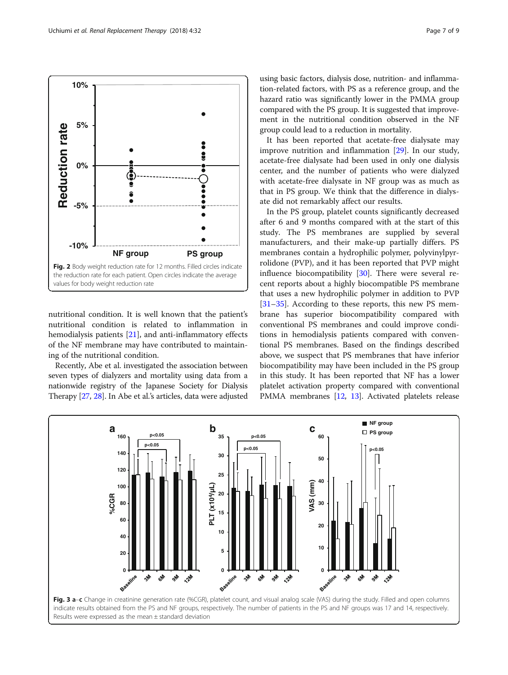<span id="page-6-0"></span>

nutritional condition. It is well known that the patient's nutritional condition is related to inflammation in hemodialysis patients [[21](#page-8-0)], and anti-inflammatory effects of the NF membrane may have contributed to maintaining of the nutritional condition.

Recently, Abe et al. investigated the association between seven types of dialyzers and mortality using data from a nationwide registry of the Japanese Society for Dialysis Therapy [[27](#page-8-0), [28](#page-8-0)]. In Abe et al.'s articles, data were adjusted

using basic factors, dialysis dose, nutrition- and inflammation-related factors, with PS as a reference group, and the hazard ratio was significantly lower in the PMMA group compared with the PS group. It is suggested that improvement in the nutritional condition observed in the NF group could lead to a reduction in mortality.

It has been reported that acetate-free dialysate may improve nutrition and inflammation [\[29](#page-8-0)]. In our study, acetate-free dialysate had been used in only one dialysis center, and the number of patients who were dialyzed with acetate-free dialysate in NF group was as much as that in PS group. We think that the difference in dialysate did not remarkably affect our results.

In the PS group, platelet counts significantly decreased after 6 and 9 months compared with at the start of this study. The PS membranes are supplied by several manufacturers, and their make-up partially differs. PS membranes contain a hydrophilic polymer, polyvinylpyrrolidone (PVP), and it has been reported that PVP might influence biocompatibility [\[30\]](#page-8-0). There were several recent reports about a highly biocompatible PS membrane that uses a new hydrophilic polymer in addition to PVP [[31](#page-8-0)–[35](#page-8-0)]. According to these reports, this new PS membrane has superior biocompatibility compared with conventional PS membranes and could improve conditions in hemodialysis patients compared with conventional PS membranes. Based on the findings described above, we suspect that PS membranes that have inferior biocompatibility may have been included in the PS group in this study. It has been reported that NF has a lower platelet activation property compared with conventional PMMA membranes [[12](#page-8-0), [13\]](#page-8-0). Activated platelets release

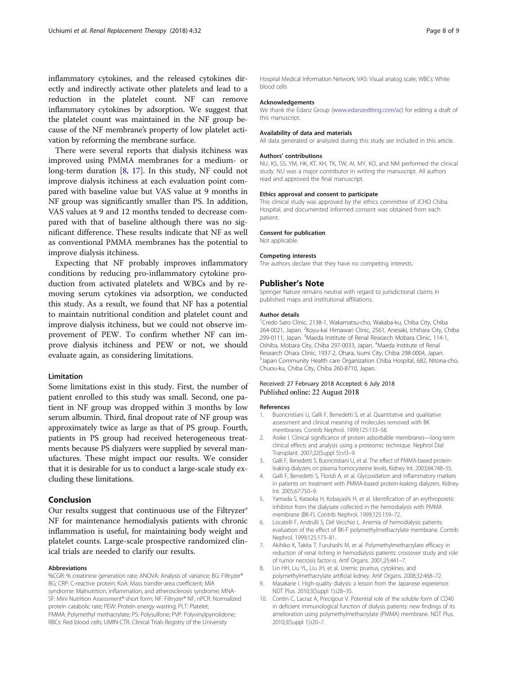<span id="page-7-0"></span>inflammatory cytokines, and the released cytokines directly and indirectly activate other platelets and lead to a reduction in the platelet count. NF can remove inflammatory cytokines by adsorption. We suggest that the platelet count was maintained in the NF group because of the NF membrane's property of low platelet activation by reforming the membrane surface.

There were several reports that dialysis itchiness was improved using PMMA membranes for a medium- or long-term duration [8, [17\]](#page-8-0). In this study, NF could not improve dialysis itchiness at each evaluation point compared with baseline value but VAS value at 9 months in NF group was significantly smaller than PS. In addition, VAS values at 9 and 12 months tended to decrease compared with that of baseline although there was no significant difference. These results indicate that NF as well as conventional PMMA membranes has the potential to improve dialysis itchiness.

Expecting that NF probably improves inflammatory conditions by reducing pro-inflammatory cytokine production from activated platelets and WBCs and by removing serum cytokines via adsorption, we conducted this study. As a result, we found that NF has a potential to maintain nutritional condition and platelet count and improve dialysis itchiness, but we could not observe improvement of PEW. To confirm whether NF can improve dialysis itchiness and PEW or not, we should evaluate again, as considering limitations.

#### Limitation

Some limitations exist in this study. First, the number of patient enrolled to this study was small. Second, one patient in NF group was dropped within 3 months by low serum albumin. Third, final dropout rate of NF group was approximately twice as large as that of PS group. Fourth, patients in PS group had received heterogeneous treatments because PS dialyzers were supplied by several manufactures. These might impact our results. We consider that it is desirable for us to conduct a large-scale study excluding these limitations.

#### Conclusion

Our results suggest that continuous use of the Filtryzer<sup>®</sup> NF for maintenance hemodialysis patients with chronic inflammation is useful, for maintaining body weight and platelet counts. Large-scale prospective randomized clinical trials are needed to clarify our results.

#### Abbreviations

%CGR: % creatinine generation rate; ANOVA: Analysis of variance; BG: Filtryzer® BG; CRP: C-reactive protein; KoA: Mass transfer-area coefficient; MIA syndrome: Malnutrition, inflammation, and atherosclerosis syndrome; MNA-SF: Mini Nutrition Assessment®-short form; NF: Filtryzer® NF; nPCR: Normalized protein catabolic rate; PEW: Protein energy wasting; PLT: Platelet; PMMA: Polymethyl methacrylate; PS: Polysulfone; PVP: Polyvinylpyrrolidone; RBCs: Red blood cells; UMIN-CTR: Clinical Trials Registry of the University

Hospital Medical Information Network; VAS: Visual analog scale; WBCs: White blood cells

#### Acknowledgements

We thank the Edanz Group ([www.edanzediting.com/ac](http://www.edanzediting.com/ac)) for editing a draft of this manuscript.

#### Availability of data and materials

All data generated or analyzed during this study are included in this article.

#### Authors' contributions

NU, KS, SS, YM, HK, KT, KH, TK, TW, AI, MY, KO, and NM performed the clinical study. NU was a major contributor in writing the manuscript. All authors read and approved the final manuscript.

#### Ethics approval and consent to participate

This clinical study was approved by the ethics committee of JCHO Chiba Hospital, and documented informed consent was obtained from each patient.

#### Consent for publication

Not applicable.

#### Competing interests

The authors declare that they have no competing interests.

#### Publisher's Note

Springer Nature remains neutral with regard to jurisdictional claims in published maps and institutional affiliations.

#### Author details

1 Credo Sato Clinic, 2138-1, Wakamatsu-cho, Wakaba-ku, Chiba City, Chiba 264-0021, Japan. <sup>2</sup> Koyu-kai Himawari Clinic, 2561, Anesaki, Ichihara City, Chiba 299-0111, Japan. <sup>3</sup>Maeda Institute of Renal Research Mobara Clinic, 114-1 Oshiba, Mobara City, Chiba 297-0033, Japan. <sup>4</sup>Maeda Institute of Renal Research Ohara Clinic, 1937-2, Ohara, Isumi City, Chiba 298-0004, Japan. 5 Japan Community Health care Organization Chiba Hospital, 682, Nitona-cho, Chuou-ku, Chiba City, Chiba 260-8710, Japan.

#### Received: 27 February 2018 Accepted: 6 July 2018 Published online: 22 August 2018

#### References

- 1. Buoncristiani U, Galli F, Benedetti S, et al. Quantitative and qualitative assessment and clinical meaning of molecules removed with BK membranes. Contrib Nephrol. 1999;125:133–58.
- 2. Aoike I. Clinical significance of protein adsorbable membranes—long-term clinical effects and analysis using a proteomic technique. Nephrol Dial Transplant. 2007;22(Suppl 5):vl3–9.
- 3. Galli F, Benedetti S, Buoncristiani U, et al. The effect of PMMA-based proteinleaking dialyzers on plasma homocysteine levels. Kidney Int. 2003;64:748–55.
- 4. Galli F, Benedetti S, Floridi A, et al. Glycoxidation and inflammatory markers in patients on treatment with PMMA-based protein-leaking dialyzers. Kidney Int. 2005;67:750–9.
- Yamada S, Kataoka H, Kobayashi H, et al. Identification of an erythropoietic inhibitor from the dialysate collected in the hemodialysis with PMMA membrane (BK-F). Contrib Nephrol. 1999;125:159–72.
- 6. Locatelli F, Andrulli S, Del Vecchio L. Anemia of hemodialysis patients: evaluation of the effect of BK-F polymethylmethacrylate membrane. Contrib Nephrol. 1999;125:173–81.
- 7. Akihiko K, Takita T, Furuhashi M, et al. Polymethylmethacrylate efficacy in reduction of renal itching in hemodialysis patients: crossover study and role of tumor necrosis factor-α. Artif Organs. 2001;25:441–7.
- 8. Lin HH, Liu YL, Liu JH, et al. Uremic pruritus, cytokines, and polymethylmethacrylate artificial kidney. Artif Organs. 2008;32:468–72.
- 9. Masakane I. High-quality dialysis: a lesson from the Japanese experience. NDT Plus. 2010;3(Suppl 1):i28–35.
- 10. Contin C, Lacraz A, Precigout V. Potential role of the soluble form of CD40 in deficient immunological function of dialysis patients: new findings of its amelioration using polymethylmethacrylate (PMMA) membrane. NDT Plus. 2010;3(Suppl 1):i20–7.